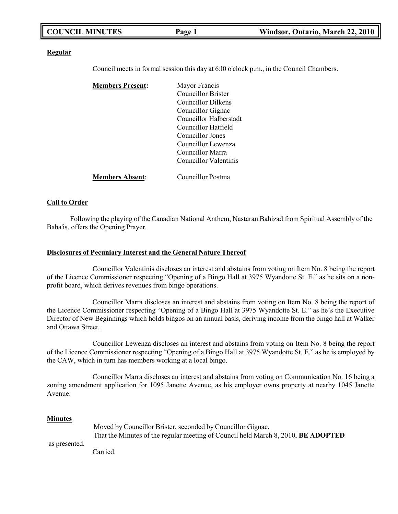| <b>COUNCIL MINUTES</b> | Page 1 | Windsor, Ontario, March 22, 2010 |
|------------------------|--------|----------------------------------|
|                        |        |                                  |

#### **Regular**

Council meets in formal session this day at 6:l0 o'clock p.m., in the Council Chambers.

| <b>Members Present:</b> | Mayor Francis             |
|-------------------------|---------------------------|
|                         | <b>Councillor Brister</b> |
|                         | Councillor Dilkens        |
|                         | Councillor Gignac         |
|                         | Councillor Halberstadt    |
|                         | Councillor Hatfield       |
|                         | Councillor Jones          |
|                         | Councillor Lewenza        |
|                         | Councillor Marra          |
|                         | Councillor Valentinis     |
| <b>Members Absent:</b>  | <b>Councillor Postma</b>  |

#### **Call to Order**

Following the playing of the Canadian National Anthem, Nastaran Bahizad from Spiritual Assembly of the Baha'is, offers the Opening Prayer.

#### **Disclosures of Pecuniary Interest and the General Nature Thereof**

Councillor Valentinis discloses an interest and abstains from voting on Item No. 8 being the report of the Licence Commissioner respecting "Opening of a Bingo Hall at 3975 Wyandotte St. E." as he sits on a nonprofit board, which derives revenues from bingo operations.

Councillor Marra discloses an interest and abstains from voting on Item No. 8 being the report of the Licence Commissioner respecting "Opening of a Bingo Hall at 3975 Wyandotte St. E." as he's the Executive Director of New Beginnings which holds bingos on an annual basis, deriving income from the bingo hall at Walker and Ottawa Street.

Councillor Lewenza discloses an interest and abstains from voting on Item No. 8 being the report of the Licence Commissioner respecting "Opening of a Bingo Hall at 3975 Wyandotte St. E." as he is employed by the CAW, which in turn has members working at a local bingo.

Councillor Marra discloses an interest and abstains from voting on Communication No. 16 being a zoning amendment application for 1095 Janette Avenue, as his employer owns property at nearby 1045 Janette Avenue.

#### **Minutes**

as presented. Moved by Councillor Brister, seconded by Councillor Gignac, That the Minutes of the regular meeting of Council held March 8, 2010, **BE ADOPTED**

Carried.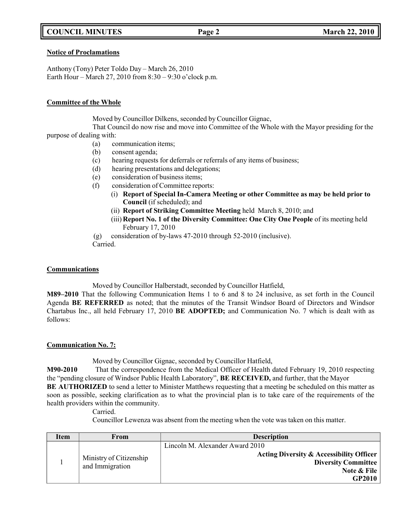# **COUNCIL MINUTES Page 2 March 22, 2010**

### **Notice of Proclamations**

Anthony (Tony) Peter Toldo Day – March 26, 2010 Earth Hour – March 27, 2010 from 8:30 – 9:30 o'clock p.m.

### **Committee of the Whole**

Moved by Councillor Dilkens, seconded by Councillor Gignac,

That Council do now rise and move into Committee of the Whole with the Mayor presiding for the purpose of dealing with:

- (a) communication items;
- (b) consent agenda;
- (c) hearing requests for deferrals or referrals of any items of business;
- (d) hearing presentations and delegations;
- (e) consideration of business items;
- (f) consideration of Committee reports:
	- (i) **Report of Special In-Camera Meeting or other Committee as may be held prior to Council** (if scheduled); and
	- (ii) **Report of Striking Committee Meeting** held March 8, 2010; and
	- (iii) **Report No. 1 of the Diversity Committee: One City One People** of its meeting held February 17, 2010
- (g) consideration of by-laws 47-2010 through 52-2010 (inclusive).

Carried.

# **Communications**

Moved by Councillor Halberstadt, seconded by Councillor Hatfield,

**M89–2010** That the following Communication Items 1 to 6 and 8 to 24 inclusive, as set forth in the Council Agenda **BE REFERRED** as noted; that the minutes of the Transit Windsor Board of Directors and Windsor Chartabus Inc., all held February 17, 2010 **BE ADOPTED;** and Communication No. 7 which is dealt with as follows:

# **Communication No. 7:**

Moved by Councillor Gignac, seconded by Councillor Hatfield,

**M90-2010** That the correspondence from the Medical Officer of Health dated February 19, 2010 respecting the "pending closure of Windsor Public Health Laboratory", **BE RECEIVED,** and further, that the Mayor

**BE AUTHORIZED** to send a letter to Minister Matthews requesting that a meeting be scheduled on this matter as soon as possible, seeking clarification as to what the provincial plan is to take care of the requirements of the health providers within the community.

Carried.

Councillor Lewenza was absent from the meeting when the vote was taken on this matter.

| Item | From                    | <b>Description</b>                                  |
|------|-------------------------|-----------------------------------------------------|
|      |                         | Lincoln M. Alexander Award 2010                     |
|      | Ministry of Citizenship | <b>Acting Diversity &amp; Accessibility Officer</b> |
|      | and Immigration         | <b>Diversity Committee</b>                          |
|      |                         | Note & File                                         |
|      |                         | GP2010                                              |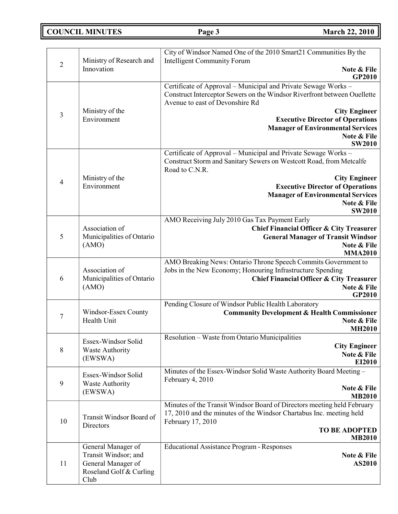**COUNCIL MINUTES Page 3 March 22, 2010**

|                  |                                                                                                     | City of Windsor Named One of the 2010 Smart21 Communities By the                                                                                                                                                    |
|------------------|-----------------------------------------------------------------------------------------------------|---------------------------------------------------------------------------------------------------------------------------------------------------------------------------------------------------------------------|
| $\sqrt{2}$       | Ministry of Research and<br>Innovation                                                              | <b>Intelligent Community Forum</b><br>Note & File<br>GP2010                                                                                                                                                         |
|                  | Ministry of the                                                                                     | Certificate of Approval - Municipal and Private Sewage Works -<br>Construct Interceptor Sewers on the Windsor Riverfront between Ouellette<br>Avenue to east of Devonshire Rd<br><b>City Engineer</b>               |
| $\mathfrak{Z}$   | Environment                                                                                         | <b>Executive Director of Operations</b><br><b>Manager of Environmental Services</b><br>Note & File<br><b>SW2010</b>                                                                                                 |
|                  | Ministry of the                                                                                     | Certificate of Approval – Municipal and Private Sewage Works –<br>Construct Storm and Sanitary Sewers on Westcott Road, from Metcalfe<br>Road to C.N.R.<br><b>City Engineer</b>                                     |
| $\overline{4}$   | Environment                                                                                         | <b>Executive Director of Operations</b><br><b>Manager of Environmental Services</b><br>Note & File<br><b>SW2010</b>                                                                                                 |
| 5                | Association of<br>Municipalities of Ontario<br>(AMO)                                                | AMO Receiving July 2010 Gas Tax Payment Early<br><b>Chief Financial Officer &amp; City Treasurer</b><br><b>General Manager of Transit Windsor</b><br>Note & File<br><b>MMA2010</b>                                  |
| 6                | Association of<br>Municipalities of Ontario<br>(AMO)                                                | AMO Breaking News: Ontario Throne Speech Commits Government to<br>Jobs in the New Economy; Honouring Infrastructure Spending<br><b>Chief Financial Officer &amp; City Treasurer</b><br>Note & File<br><b>GP2010</b> |
| $\tau$           | Windsor-Essex County<br>Health Unit                                                                 | Pending Closure of Windsor Public Health Laboratory<br><b>Community Development &amp; Health Commissioner</b><br>Note & File<br><b>MH2010</b>                                                                       |
| 8                | Essex-Windsor Solid<br><b>Waste Authority</b><br>(EWSWA)                                            | Resolution - Waste from Ontario Municipalities<br><b>City Engineer</b><br>Note & File<br>EI2010                                                                                                                     |
| $\boldsymbol{9}$ | Essex-Windsor Solid<br><b>Waste Authority</b><br>(EWSWA)                                            | Minutes of the Essex-Windsor Solid Waste Authority Board Meeting -<br>February 4, 2010<br>Note & File<br><b>MB2010</b>                                                                                              |
| 10               | Transit Windsor Board of<br>Directors                                                               | Minutes of the Transit Windsor Board of Directors meeting held February<br>17, 2010 and the minutes of the Windsor Chartabus Inc. meeting held<br>February 17, 2010<br><b>TO BE ADOPTED</b><br><b>MB2010</b>        |
| 11               | General Manager of<br>Transit Windsor; and<br>General Manager of<br>Roseland Golf & Curling<br>Club | <b>Educational Assistance Program - Responses</b><br>Note & File<br><b>AS2010</b>                                                                                                                                   |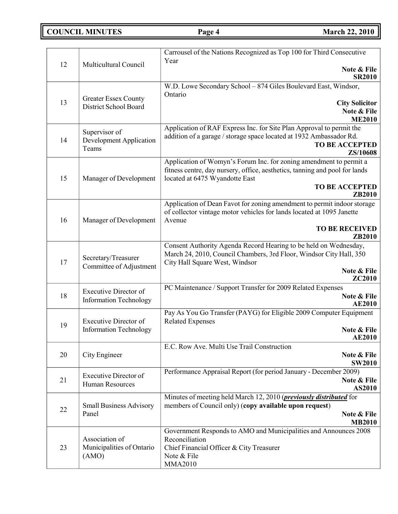**COUNCIL MINUTES Page 4 March 22, 2010** 

|    |                                                 | Carrousel of the Nations Recognized as Top 100 for Third Consecutive                  |
|----|-------------------------------------------------|---------------------------------------------------------------------------------------|
| 12 | Multicultural Council                           | Year<br>Note & File                                                                   |
|    |                                                 | <b>SR2010</b>                                                                         |
|    |                                                 | W.D. Lowe Secondary School - 874 Giles Boulevard East, Windsor,<br>Ontario            |
| 13 | <b>Greater Essex County</b>                     | <b>City Solicitor</b>                                                                 |
|    | District School Board                           | Note & File                                                                           |
|    |                                                 | <b>ME2010</b><br>Application of RAF Express Inc. for Site Plan Approval to permit the |
| 14 | Supervisor of<br><b>Development Application</b> | addition of a garage / storage space located at 1932 Ambassador Rd.                   |
|    | Teams                                           | <b>TO BE ACCEPTED</b><br>ZS/10608                                                     |
|    |                                                 | Application of Womyn's Forum Inc. for zoning amendment to permit a                    |
|    |                                                 | fitness centre, day nursery, office, aesthetics, tanning and pool for lands           |
| 15 | Manager of Development                          | located at 6475 Wyandotte East<br><b>TO BE ACCEPTED</b>                               |
|    |                                                 | ZB2010                                                                                |
|    |                                                 | Application of Dean Favot for zoning amendment to permit indoor storage               |
| 16 | Manager of Development                          | of collector vintage motor vehicles for lands located at 1095 Janette<br>Avenue       |
|    |                                                 | <b>TO BE RECEIVED</b>                                                                 |
|    |                                                 | ZB2010<br>Consent Authority Agenda Record Hearing to be held on Wednesday,            |
|    |                                                 | March 24, 2010, Council Chambers, 3rd Floor, Windsor City Hall, 350                   |
| 17 | Secretary/Treasurer<br>Committee of Adjustment  | City Hall Square West, Windsor                                                        |
|    |                                                 | Note & File<br>ZC2010                                                                 |
|    | <b>Executive Director of</b>                    | PC Maintenance / Support Transfer for 2009 Related Expenses                           |
| 18 | <b>Information Technology</b>                   | Note & File<br><b>AE2010</b>                                                          |
|    |                                                 | Pay As You Go Transfer (PAYG) for Eligible 2009 Computer Equipment                    |
| 19 | <b>Executive Director of</b>                    | <b>Related Expenses</b>                                                               |
|    | <b>Information Technology</b>                   | Note & File<br><b>AE2010</b>                                                          |
|    |                                                 | E.C. Row Ave. Multi Use Trail Construction                                            |
| 20 | City Engineer                                   | Note & File<br><b>SW2010</b>                                                          |
|    | <b>Executive Director of</b>                    | Performance Appraisal Report (for period January - December 2009)                     |
| 21 | <b>Human Resources</b>                          | Note & File                                                                           |
|    |                                                 | AS2010<br>Minutes of meeting held March 12, 2010 ( <i>previously distributed</i> for  |
| 22 | <b>Small Business Advisory</b>                  | members of Council only) (copy available upon request)                                |
|    | Panel                                           | Note & File<br><b>MB2010</b>                                                          |
|    |                                                 | Government Responds to AMO and Municipalities and Announces 2008                      |
|    | Association of                                  | Reconciliation                                                                        |
| 23 | Municipalities of Ontario<br>(AMO)              | Chief Financial Officer & City Treasurer<br>Note & File                               |
|    |                                                 | <b>MMA2010</b>                                                                        |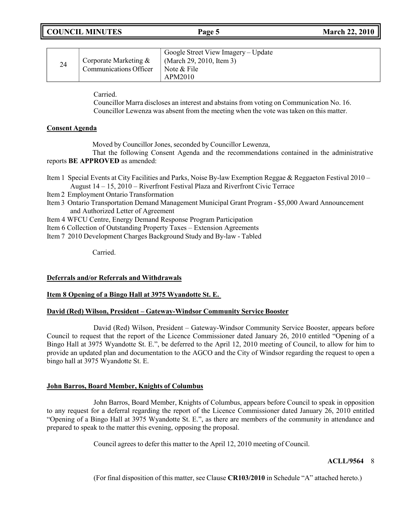| <b>COUNCIL MINUTES</b> |  |
|------------------------|--|
|------------------------|--|

| 24 | Corporate Marketing &<br><b>Communications Officer</b> | Google Street View Imagery – Update<br>(March 29, 2010, Item 3)<br>Note & File<br>APM2010 |
|----|--------------------------------------------------------|-------------------------------------------------------------------------------------------|
|----|--------------------------------------------------------|-------------------------------------------------------------------------------------------|

Carried.

Councillor Marra discloses an interest and abstains from voting on Communication No. 16. Councillor Lewenza was absent from the meeting when the vote was taken on this matter.

# **Consent Agenda**

Moved by Councillor Jones, seconded by Councillor Lewenza,

That the following Consent Agenda and the recommendations contained in the administrative reports **BE APPROVED** as amended:

- Item 1 Special Events at City Facilities and Parks, Noise By-law Exemption Reggae & Reggaeton Festival 2010 August 14 – 15, 2010 – Riverfront Festival Plaza and Riverfront Civic Terrace
- Item 2 Employment Ontario Transformation
- Item 3 Ontario Transportation Demand Management Municipal Grant Program \$5,000 Award Announcement and Authorized Letter of Agreement
- Item 4 WFCU Centre, Energy Demand Response Program Participation

Item 6 Collection of Outstanding Property Taxes – Extension Agreements

Item 7 2010 Development Charges Background Study and By-law - Tabled

Carried.

### **Deferrals and/or Referrals and Withdrawals**

# **Item 8 Opening of a Bingo Hall at 3975 Wyandotte St. E.**

### **David (Red) Wilson, President – Gateway-Windsor Community Service Booster**

David (Red) Wilson, President – Gateway-Windsor Community Service Booster, appears before Council to request that the report of the Licence Commissioner dated January 26, 2010 entitled "Opening of a Bingo Hall at 3975 Wyandotte St. E.", be deferred to the April 12, 2010 meeting of Council, to allow for him to provide an updated plan and documentation to the AGCO and the City of Windsor regarding the request to open a bingo hall at 3975 Wyandotte St. E.

### **John Barros, Board Member, Knights of Columbus**

John Barros, Board Member, Knights of Columbus, appears before Council to speak in opposition to any request for a deferral regarding the report of the Licence Commissioner dated January 26, 2010 entitled "Opening of a Bingo Hall at 3975 Wyandotte St. E.", as there are members of the community in attendance and prepared to speak to the matter this evening, opposing the proposal.

Council agrees to defer this matter to the April 12, 2010 meeting of Council.

### **ACLL/9564** 8

(For final disposition of this matter, see Clause **CR103/2010** in Schedule "A" attached hereto.)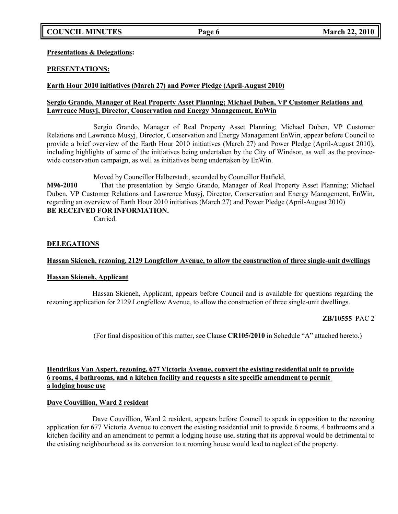# **COUNCIL MINUTES Page 6 March 22, 2010**

**Presentations & Delegations:**

# **PRESENTATIONS:**

# **Earth Hour 2010 initiatives (March 27) and Power Pledge (April-August 2010)**

# **Sergio Grando, Manager of Real Property Asset Planning; Michael Duben, VP Customer Relations and Lawrence Musyj, Director, Conservation and Energy Management, EnWin**

Sergio Grando, Manager of Real Property Asset Planning; Michael Duben, VP Customer Relations and Lawrence Musyj, Director, Conservation and Energy Management EnWin, appear before Council to provide a brief overview of the Earth Hour 2010 initiatives (March 27) and Power Pledge (April-August 2010), including highlights of some of the initiatives being undertaken by the City of Windsor, as well as the provincewide conservation campaign, as well as initiatives being undertaken by EnWin.

Moved by Councillor Halberstadt, seconded by Councillor Hatfield,

**M96-2010** That the presentation by Sergio Grando, Manager of Real Property Asset Planning; Michael Duben, VP Customer Relations and Lawrence Musyj, Director, Conservation and Energy Management, EnWin, regarding an overview of Earth Hour 2010 initiatives (March 27) and Power Pledge (April-August 2010) **BE RECEIVED FOR INFORMATION.**

Carried.

### **DELEGATIONS**

### **Hassan Skieneh, rezoning, 2129 Longfellow Avenue, to allow the construction of three single-unit dwellings**

### **Hassan Skieneh, Applicant**

Hassan Skieneh, Applicant, appears before Council and is available for questions regarding the rezoning application for 2129 Longfellow Avenue, to allow the construction of three single-unit dwellings.

### **ZB/10555** PAC 2

(For final disposition of this matter, see Clause **CR105/2010** in Schedule "A" attached hereto.)

### **Hendrikus Van Aspert, rezoning, 677 Victoria Avenue, convert the existing residential unit to provide 6 rooms, 4 bathrooms, and a kitchen facility and requests a site specific amendment to permit a lodging house use**

### **Dave Couvillion, Ward 2 resident**

Dave Couvillion, Ward 2 resident, appears before Council to speak in opposition to the rezoning application for 677 Victoria Avenue to convert the existing residential unit to provide 6 rooms, 4 bathrooms and a kitchen facility and an amendment to permit a lodging house use, stating that its approval would be detrimental to the existing neighbourhood as its conversion to a rooming house would lead to neglect of the property.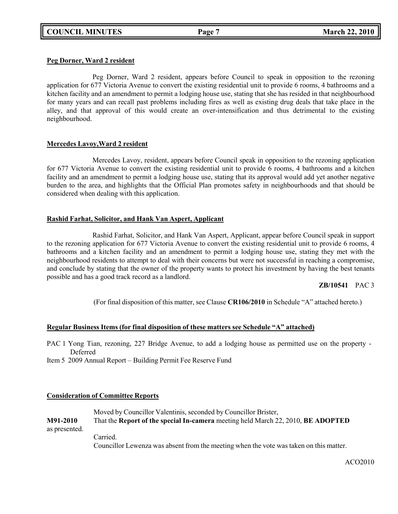# **Peg Dorner, Ward 2 resident**

Peg Dorner, Ward 2 resident, appears before Council to speak in opposition to the rezoning application for 677 Victoria Avenue to convert the existing residential unit to provide 6 rooms, 4 bathrooms and a kitchen facility and an amendment to permit a lodging house use, stating that she has resided in that neighbourhood for many years and can recall past problems including fires as well as existing drug deals that take place in the alley, and that approval of this would create an over-intensification and thus detrimental to the existing neighbourhood.

### **Mercedes Lavoy,Ward 2 resident**

Mercedes Lavoy, resident, appears before Council speak in opposition to the rezoning application for 677 Victoria Avenue to convert the existing residential unit to provide 6 rooms, 4 bathrooms and a kitchen facility and an amendment to permit a lodging house use, stating that its approval would add yet another negative burden to the area, and highlights that the Official Plan promotes safety in neighbourhoods and that should be considered when dealing with this application.

# **Rashid Farhat, Solicitor, and Hank Van Aspert, Applicant**

Rashid Farhat, Solicitor, and Hank Van Aspert, Applicant, appear before Council speak in support to the rezoning application for 677 Victoria Avenue to convert the existing residential unit to provide 6 rooms, 4 bathrooms and a kitchen facility and an amendment to permit a lodging house use, stating they met with the neighbourhood residents to attempt to deal with their concerns but were not successful in reaching a compromise, and conclude by stating that the owner of the property wants to protect his investment by having the best tenants possible and has a good track record as a landlord.

# **ZB/10541** PAC 3

(For final disposition of this matter, see Clause **CR106/2010** in Schedule "A" attached hereto.)

# **Regular Business Items (for final disposition of these matters see Schedule "A" attached)**

PAC 1 Yong Tian, rezoning, 227 Bridge Avenue, to add a lodging house as permitted use on the property - Deferred

Item 5 2009 Annual Report – Building Permit Fee Reserve Fund

# **Consideration of Committee Reports**

Moved by Councillor Valentinis, seconded by Councillor Brister, **M91-2010** That the **Report of the special In-camera** meeting held March 22, 2010, **BE ADOPTED** as presented.

Carried. Councillor Lewenza was absent from the meeting when the vote was taken on this matter.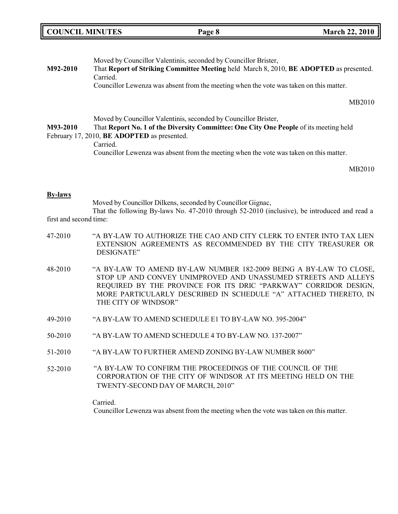| <b>COUNCIL MINUTES</b> | Page 8 | <b>March 22, 2010</b> |
|------------------------|--------|-----------------------|
|                        |        |                       |

| M92-2010 | Moved by Councillor Valentinis, seconded by Councillor Brister,<br>That Report of Striking Committee Meeting held March 8, 2010, BE ADOPTED as presented. |
|----------|-----------------------------------------------------------------------------------------------------------------------------------------------------------|
|          | Carried.                                                                                                                                                  |
|          | Councillor Lewenza was absent from the meeting when the vote was taken on this matter.                                                                    |
|          | MB2010                                                                                                                                                    |
|          | Moved by Councillor Valentinis, seconded by Councillor Brister,                                                                                           |
| M93-2010 | That Report No. 1 of the Diversity Committee: One City One People of its meeting held                                                                     |
|          | February 17, 2010, <b>BE ADOPTED</b> as presented.                                                                                                        |
|          | Carried.                                                                                                                                                  |
|          | Councillor Lewenza was absent from the meeting when the vote was taken on this matter.                                                                    |
|          |                                                                                                                                                           |

#### **By-laws**

Moved by Councillor Dilkens, seconded by Councillor Gignac, That the following By-laws No. 47-2010 through 52-2010 (inclusive), be introduced and read a

- first and second time:
- 47-2010 "A BY-LAW TO AUTHORIZE THE CAO AND CITY CLERK TO ENTER INTO TAX LIEN EXTENSION AGREEMENTS AS RECOMMENDED BY THE CITY TREASURER OR DESIGNATE"
- 48-2010 "A BY-LAW TO AMEND BY-LAW NUMBER 182-2009 BEING A BY-LAW TO CLOSE, STOP UP AND CONVEY UNIMPROVED AND UNASSUMED STREETS AND ALLEYS REQUIRED BY THE PROVINCE FOR ITS DRIC "PARKWAY" CORRIDOR DESIGN, MORE PARTICULARLY DESCRIBED IN SCHEDULE "A" ATTACHED THERETO, IN THE CITY OF WINDSOR"
- 49-2010 "A BY-LAW TO AMEND SCHEDULE E1 TO BY-LAW NO. 395-2004"
- 50-2010 "A BY-LAW TO AMEND SCHEDULE 4 TO BY-LAW NO. 137-2007"
- 51-2010 "A BY-LAW TO FURTHER AMEND ZONING BY-LAW NUMBER 8600"
- 52-2010 "A BY-LAW TO CONFIRM THE PROCEEDINGS OF THE COUNCIL OF THE CORPORATION OF THE CITY OF WINDSOR AT ITS MEETING HELD ON THE TWENTY-SECOND DAY OF MARCH, 2010"

Carried.

Councillor Lewenza was absent from the meeting when the vote was taken on this matter.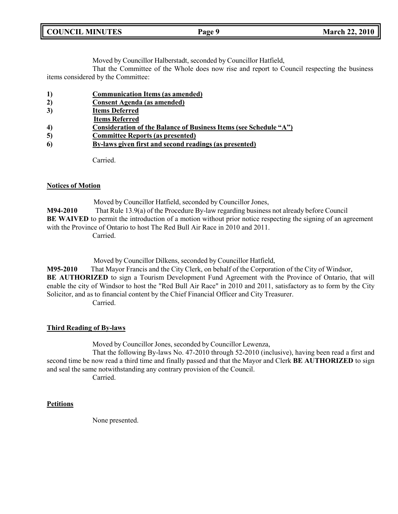| <b>COUNCIL MINUTES</b> | Page 9 | <b>March 22, 2010</b> |
|------------------------|--------|-----------------------|
|                        |        |                       |

Moved by Councillor Halberstadt, seconded by Councillor Hatfield,

That the Committee of the Whole does now rise and report to Council respecting the business items considered by the Committee:

|--|

**2) Consent Agenda (as amended)**

| 3) | <b>Items Deferred</b> |  |
|----|-----------------------|--|
|    |                       |  |

- **Items Referred**
- **4) Consideration of the Balance of Business Items (see Schedule "A")**
- **5) Committee Reports (as presented)**
- **6) By-laws given first and second readings (as presented)**

Carried.

# **Notices of Motion**

Moved by Councillor Hatfield, seconded by Councillor Jones, **M94-2010** That Rule 13.9(a) of the Procedure By-law regarding business not already before Council **BE WAIVED** to permit the introduction of a motion without prior notice respecting the signing of an agreement with the Province of Ontario to host The Red Bull Air Race in 2010 and 2011. Carried.

Moved by Councillor Dilkens, seconded by Councillor Hatfield,

**M95-2010** That Mayor Francis and the City Clerk, on behalf of the Corporation of the City of Windsor, **BE AUTHORIZED** to sign a Tourism Development Fund Agreement with the Province of Ontario, that will enable the city of Windsor to host the "Red Bull Air Race" in 2010 and 2011, satisfactory as to form by the City Solicitor, and as to financial content by the Chief Financial Officer and City Treasurer. Carried.

# **Third Reading of By-laws**

Moved by Councillor Jones, seconded by Councillor Lewenza,

That the following By-laws No. 47-2010 through 52-2010 (inclusive), having been read a first and second time be now read a third time and finally passed and that the Mayor and Clerk **BE AUTHORIZED** to sign and seal the same notwithstanding any contrary provision of the Council.

Carried.

# **Petitions**

None presented.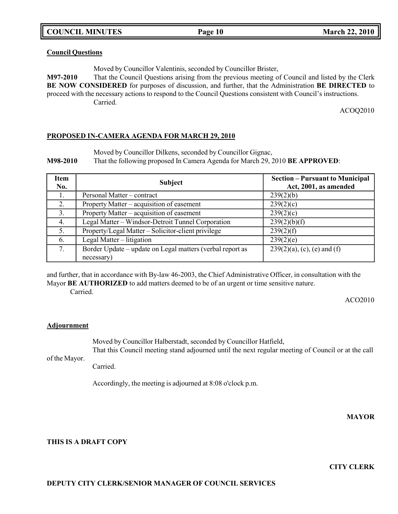**COUNCIL MINUTES Page 10 March 22, 2010**

#### **Council Questions**

Moved by Councillor Valentinis, seconded by Councillor Brister,

**M97-2010** That the Council Questions arising from the previous meeting of Council and listed by the Clerk **BE NOW CONSIDERED** for purposes of discussion, and further, that the Administration **BE DIRECTED** to proceed with the necessary actions to respond to the Council Questions consistent with Council's instructions. Carried.

ACOQ2010

#### **PROPOSED IN-CAMERA AGENDA FOR MARCH 29, 2010**

Moved by Councillor Dilkens, seconded by Councillor Gignac,

**M98-2010** That the following proposed In Camera Agenda for March 29, 2010 **BE APPROVED**:

| <b>Item</b><br>No. | <b>Subject</b>                                            | <b>Section – Pursuant to Municipal</b><br>Act, 2001, as amended |
|--------------------|-----------------------------------------------------------|-----------------------------------------------------------------|
| Ι.                 | Personal Matter – contract                                | 239(2)(b)                                                       |
| 2.                 | Property Matter – acquisition of easement                 | 239(2)(c)                                                       |
| 3.                 | Property Matter – acquisition of easement                 | 239(2)(c)                                                       |
| 4.                 | Legal Matter - Windsor-Detroit Tunnel Corporation         | 239(2)(b)(f)                                                    |
| 5.                 | Property/Legal Matter – Solicitor-client privilege        | 239(2)(f)                                                       |
| 6.                 | Legal Matter – litigation                                 | 239(2)(e)                                                       |
| 7.                 | Border Update – update on Legal matters (verbal report as | $239(2)(a)$ , (c), (e) and (f)                                  |
|                    | necessary)                                                |                                                                 |

and further, that in accordance with By-law 46-2003, the Chief Administrative Officer, in consultation with the Mayor **BE AUTHORIZED** to add matters deemed to be of an urgent or time sensitive nature. Carried.

ACO2010

#### **Adjournment**

Moved by Councillor Halberstadt, seconded by Councillor Hatfield,

of the Mayor. That this Council meeting stand adjourned until the next regular meeting of Council or at the call

Carried.

Accordingly, the meeting is adjourned at 8:08 o'clock p.m.

**MAYOR**

#### **THIS IS A DRAFT COPY**

**CITY CLERK**

#### **DEPUTY CITY CLERK/SENIOR MANAGER OF COUNCIL SERVICES**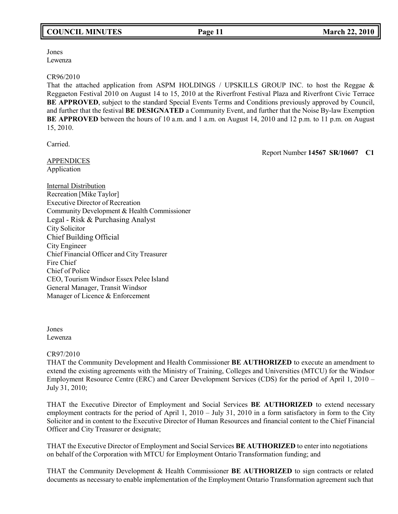Jones Lewenza

#### CR96/2010

That the attached application from ASPM HOLDINGS / UPSKILLS GROUP INC. to host the Reggae & Reggaeton Festival 2010 on August 14 to 15, 2010 at the Riverfront Festival Plaza and Riverfront Civic Terrace **BE APPROVED**, subject to the standard Special Events Terms and Conditions previously approved by Council, and further that the festival **BE DESIGNATED** a Community Event, and further that the Noise By-law Exemption **BE APPROVED** between the hours of 10 a.m. and 1 a.m. on August 14, 2010 and 12 p.m. to 11 p.m. on August 15, 2010.

Carried.

Report Number **14567 SR/10607 C1**

APPENDICES Application

Internal Distribution Recreation [Mike Taylor] Executive Director of Recreation Community Development & Health Commissioner Legal - Risk & Purchasing Analyst City Solicitor Chief Building Official City Engineer Chief Financial Officer and City Treasurer Fire Chief Chief of Police CEO, Tourism Windsor Essex Pelee Island General Manager, Transit Windsor Manager of Licence & Enforcement

Jones Lewenza

### CR97/2010

THAT the Community Development and Health Commissioner **BE AUTHORIZED** to execute an amendment to extend the existing agreements with the Ministry of Training, Colleges and Universities (MTCU) for the Windsor Employment Resource Centre (ERC) and Career Development Services (CDS) for the period of April 1, 2010 – July 31, 2010;

THAT the Executive Director of Employment and Social Services **BE AUTHORIZED** to extend necessary employment contracts for the period of April 1, 2010 – July 31, 2010 in a form satisfactory in form to the City Solicitor and in content to the Executive Director of Human Resources and financial content to the Chief Financial Officer and City Treasurer or designate;

THAT the Executive Director of Employment and Social Services **BE AUTHORIZED** to enter into negotiations on behalf of the Corporation with MTCU for Employment Ontario Transformation funding; and

THAT the Community Development & Health Commissioner **BE AUTHORIZED** to sign contracts or related documents as necessary to enable implementation of the Employment Ontario Transformation agreement such that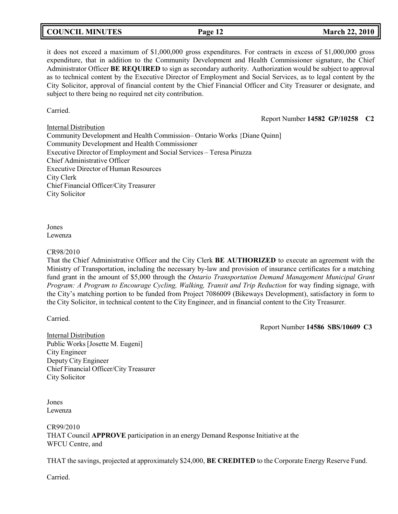# **COUNCIL MINUTES Page 12 March 22, 2010**

it does not exceed a maximum of \$1,000,000 gross expenditures. For contracts in excess of \$1,000,000 gross expenditure, that in addition to the Community Development and Health Commissioner signature, the Chief Administrator Officer **BE REQUIRED** to sign as secondary authority. Authorization would be subject to approval as to technical content by the Executive Director of Employment and Social Services, as to legal content by the City Solicitor, approval of financial content by the Chief Financial Officer and City Treasurer or designate, and subject to there being no required net city contribution.

Carried.

Report Number **14582 GP/10258 C2**

Internal Distribution Community Development and Health Commission– Ontario Works {Diane Quinn] Community Development and Health Commissioner Executive Director of Employment and Social Services – Teresa Piruzza Chief Administrative Officer Executive Director of Human Resources City Clerk Chief Financial Officer/City Treasurer City Solicitor

Jones Lewenza

#### CR98/2010

That the Chief Administrative Officer and the City Clerk **BE AUTHORIZED** to execute an agreement with the Ministry of Transportation, including the necessary by-law and provision of insurance certificates for a matching fund grant in the amount of \$5,000 through the *Ontario Transportation Demand Management Municipal Grant Program: A Program to Encourage Cycling, Walking, Transit and Trip Reduction for way finding signage, with* the City's matching portion to be funded from Project 7086009 (Bikeways Development), satisfactory in form to the City Solicitor, in technical content to the City Engineer, and in financial content to the City Treasurer.

Carried.

Report Number **14586 SBS/10609 C3**

Internal Distribution Public Works [Josette M. Eugeni] City Engineer Deputy City Engineer Chief Financial Officer/City Treasurer City Solicitor

Jones Lewenza

CR99/2010 THAT Council **APPROVE** participation in an energy Demand Response Initiative at the WFCU Centre, and

THAT the savings, projected at approximately \$24,000, **BE CREDITED** to the Corporate Energy Reserve Fund.

Carried.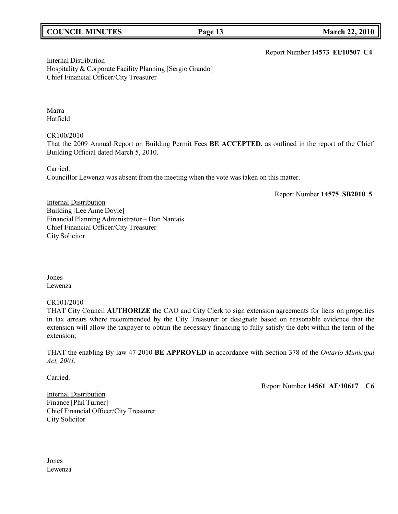# **COUNCIL MINUTES Page 13 March 22, 2010**

Report Number **14573 EI/10507 C4**

Internal Distribution Hospitality & Corporate Facility Planning [Sergio Grando] Chief Financial Officer/City Treasurer

Marra Hatfield

CR100/2010

That the 2009 Annual Report on Building Permit Fees **BE ACCEPTED**, as outlined in the report of the Chief Building Official dated March 5, 2010.

Carried.

Councillor Lewenza was absent from the meeting when the vote was taken on this matter.

Report Number **14575 SB2010 5**

**Internal Distribution** Building [Lee Anne Doyle] Financial Planning Administrator – Don Nantais Chief Financial Officer/City Treasurer City Solicitor

Jones Lewenza

### CR101/2010

THAT City Council **AUTHORIZE** the CAO and City Clerk to sign extension agreements for liens on properties in tax arrears where recommended by the City Treasurer or designate based on reasonable evidence that the extension will allow the taxpayer to obtain the necessary financing to fully satisfy the debt within the term of the extension;

THAT the enabling By-law 47-2010 **BE APPROVED** in accordance with Section 378 of the *Ontario Municipal Act, 2001.*

Carried.

Report Number **14561 AF/10617 C6**

Internal Distribution Finance [Phil Turner] Chief Financial Officer/City Treasurer City Solicitor

Jones Lewenza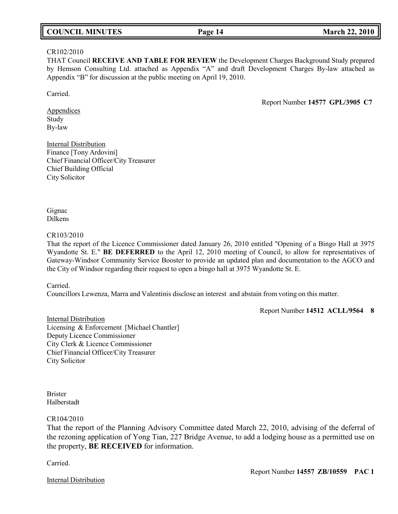# **COUNCIL MINUTES Page 14 March 22, 2010**

#### CR102/2010

THAT Council **RECEIVE AND TABLE FOR REVIEW** the Development Charges Background Study prepared by Hemson Consulting Ltd. attached as Appendix "A" and draft Development Charges By-law attached as Appendix "B" for discussion at the public meeting on April 19, 2010.

Carried.

Report Number **14577 GPL/3905 C7**

**Appendices** Study By-law

Internal Distribution Finance [Tony Ardovini] Chief Financial Officer/City Treasurer Chief Building Official City Solicitor

Gignac Dilkens

#### CR103/2010

That the report of the Licence Commissioner dated January 26, 2010 entitled "Opening of a Bingo Hall at 3975 Wyandotte St. E." **BE DEFERRED** to the April 12, 2010 meeting of Council, to allow for representatives of Gateway-Windsor Community Service Booster to provide an updated plan and documentation to the AGCO and the City of Windsor regarding their request to open a bingo hall at 3975 Wyandotte St. E.

Carried.

Councillors Lewenza, Marra and Valentinis disclose an interest and abstain from voting on this matter.

Report Number **14512 ACLL/9564 8**

Internal Distribution Licensing & Enforcement [Michael Chantler] Deputy Licence Commissioner City Clerk & Licence Commissioner Chief Financial Officer/City Treasurer City Solicitor

Brister Halberstadt

CR104/2010

That the report of the Planning Advisory Committee dated March 22, 2010, advising of the deferral of the rezoning application of Yong Tian, 227 Bridge Avenue, to add a lodging house as a permitted use on the property, **BE RECEIVED** for information.

Carried.

Internal Distribution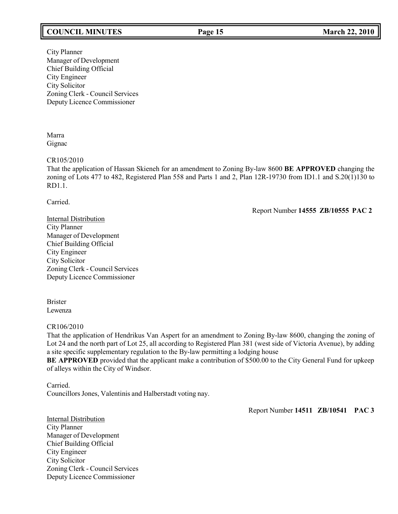# **COUNCIL MINUTES Page 15 March 22, 2010**

City Planner Manager of Development Chief Building Official City Engineer City Solicitor Zoning Clerk - Council Services Deputy Licence Commissioner

Marra Gignac

#### CR105/2010

That the application of Hassan Skieneh for an amendment to Zoning By-law 8600 **BE APPROVED** changing the zoning of Lots 477 to 482, Registered Plan 558 and Parts 1 and 2, Plan 12R-19730 from ID1.1 and S.20(1)130 to RD1.1.

Carried.

Report Number **14555 ZB/10555 PAC 2**

Internal Distribution City Planner Manager of Development Chief Building Official City Engineer City Solicitor Zoning Clerk - Council Services Deputy Licence Commissioner

Brister Lewenza

### CR106/2010

That the application of Hendrikus Van Aspert for an amendment to Zoning By-law 8600, changing the zoning of Lot 24 and the north part of Lot 25, all according to Registered Plan 381 (west side of Victoria Avenue), by adding a site specific supplementary regulation to the By-law permitting a lodging house

**BE APPROVED** provided that the applicant make a contribution of \$500.00 to the City General Fund for upkeep of alleys within the City of Windsor.

Carried.

CouncillorsJones, Valentinis and Halberstadt voting nay.

Report Number **14511 ZB/10541 PAC 3**

Internal Distribution City Planner Manager of Development Chief Building Official City Engineer City Solicitor Zoning Clerk - Council Services Deputy Licence Commissioner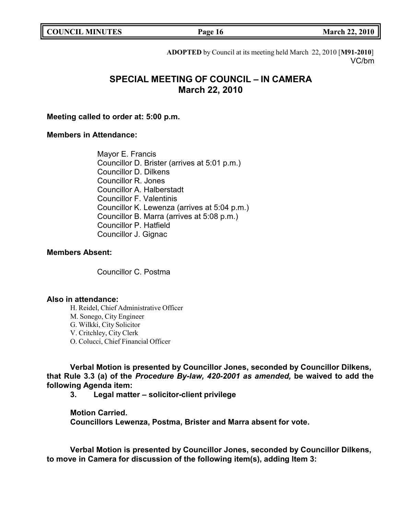| <b>COUNCIL MINUTES</b> |  |
|------------------------|--|
|------------------------|--|

**COUNCIL MINUTES Page 16 March 22, 2010**

**ADOPTED** by Council at its meeting held March 22, 2010 [**M91-2010**] VC/bm

# **SPECIAL MEETING OF COUNCIL – IN CAMERA March 22, 2010**

**Meeting called to order at: 5:00 p.m.**

# **Members in Attendance:**

Mayor E. Francis Councillor D. Brister (arrives at 5:01 p.m.) Councillor D. Dilkens Councillor R. Jones Councillor A. Halberstadt Councillor F. Valentinis Councillor K. Lewenza (arrives at 5:04 p.m.) Councillor B. Marra (arrives at 5:08 p.m.) Councillor P. Hatfield Councillor J. Gignac

# **Members Absent:**

Councillor C. Postma

# **Also in attendance:**

H. Reidel, Chief Administrative Officer M. Sonego, City Engineer G. Wilkki, City Solicitor V. Critchley, City Clerk O. Colucci, Chief Financial Officer

**Verbal Motion is presented by Councillor Jones, seconded by Councillor Dilkens, that Rule 3.3 (a) of the** *Procedure By-law, 420-2001 as amended,* **be waived to add the following Agenda item:**

**3. Legal matter – solicitor-client privilege**

**Motion Carried.**

**Councillors Lewenza, Postma, Brister and Marra absent for vote.**

**Verbal Motion is presented by Councillor Jones, seconded by Councillor Dilkens, to move in Camera for discussion of the following item(s), adding Item 3:**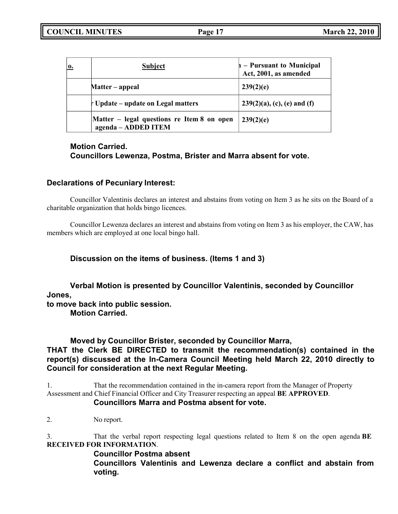| $\mathbf{0}$ | <b>Subject</b>                                                    | $\vert A -$ Pursuant to Municipal Act, 2001, as amended |
|--------------|-------------------------------------------------------------------|---------------------------------------------------------|
|              | Matter – appeal                                                   | 239(2)(e)                                               |
|              | r Update – update on Legal matters                                | $239(2)(a)$ , (c), (e) and (f)                          |
|              | Matter - legal questions re Item 8 on open<br>agenda - ADDED ITEM | 239(2)(e)                                               |

# **Motion Carried. Councillors Lewenza, Postma, Brister and Marra absent for vote.**

# **Declarations of Pecuniary Interest:**

Councillor Valentinis declares an interest and abstains from voting on Item 3 as he sits on the Board of a charitable organization that holds bingo licences.

Councillor Lewenza declares an interest and abstains from voting on Item 3 as his employer, the CAW, has members which are employed at one local bingo hall.

# **Discussion on the items of business. (Items 1 and 3)**

**Verbal Motion is presented by Councillor Valentinis, seconded by Councillor Jones,**

**to move back into public session.**

**Motion Carried.**

**Moved by Councillor Brister, seconded by Councillor Marra,**

**THAT the Clerk BE DIRECTED to transmit the recommendation(s) contained in the report(s) discussed at the In-Camera Council Meeting held March 22, 2010 directly to Council for consideration at the next Regular Meeting.**

1. That the recommendation contained in the in-camera report from the Manager of Property Assessment and Chief Financial Officer and City Treasurer respecting an appeal **BE APPROVED**.

# **Councillors Marra and Postma absent for vote.**

2. No report.

3. That the verbal report respecting legal questions related to Item 8 on the open agenda **BE RECEIVED FOR INFORMATION**.

# **Councillor Postma absent**

**Councillors Valentinis and Lewenza declare a conflict and abstain from voting.**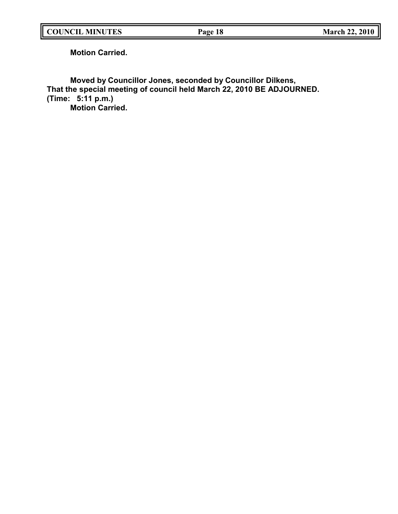**Motion Carried.**

**Moved by Councillor Jones, seconded by Councillor Dilkens, That the special meeting of council held March 22, 2010 BE ADJOURNED. (Time: 5:11 p.m.) Motion Carried.**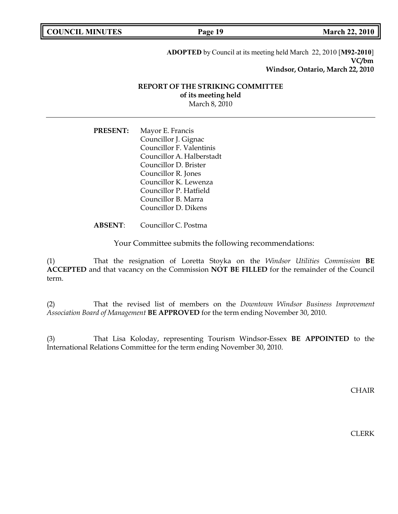| <b>COUNCIL MINUTES</b> |  |
|------------------------|--|
|------------------------|--|

**COUNCIL <b>EXECUTE: COUNCIL <b>MARCH March** 22, 2010

**ADOPTED** by Council at its meeting held March 22, 2010 [**M92-2010**] **VC/bm Windsor, Ontario, March 22, 2010**

### **REPORT OF THE STRIKING COMMITTEE of its meeting held** March 8, 2010

**PRESENT:** Mayor E. Francis Councillor J. Gignac Councillor F. Valentinis Councillor A. Halberstadt Councillor D. Brister Councillor R. Jones Councillor K. Lewenza Councillor P. Hatfield Councillor B. Marra Councillor D. Dikens

# **ABSENT**: Councillor C. Postma

Your Committee submits the following recommendations:

(1) That the resignation of Loretta Stoyka on the *Windsor Utilities Commission* **BE ACCEPTED** and that vacancy on the Commission **NOT BE FILLED** for the remainder of the Council term.

(2) That the revised list of members on the *Downtown Windsor Business Improvement Association Board of Management* **BE APPROVED** for the term ending November 30, 2010.

(3) That Lisa Koloday, representing Tourism Windsor-Essex **BE APPOINTED** to the International Relations Committee for the term ending November 30, 2010.

CHAIR

CLERK